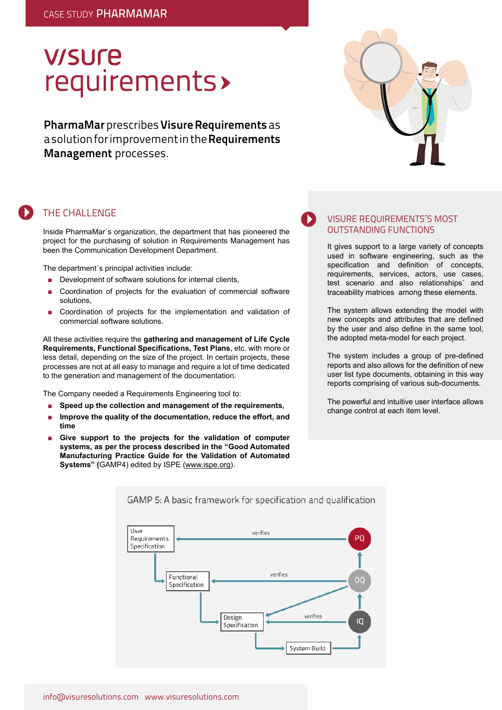# **V/SUre** requirements>

**PharmaMar** prescribes **Visure Requirements** as a solution for improvement in the **Requirements Management** processes.



### The Challenge

Inside PharmaMar´s organization, the department that has pioneered the project for the purchasing of solution in Requirements Management has been the Communication Development Department.

The department´s principal activities include:

- Development of software solutions for internal clients,
- Coordination of projects for the evaluation of commercial software solutions,
- Coordination of projects for the implementation and validation of commercial software solutions.

All these activities require the **gathering and management of Life Cycle Requirements, Functional Specifications, Test Plans**, etc. with more or less detail, depending on the size of the project. In certain projects, these processes are not at all easy to manage and require a lot of time dedicated to the generation and management of the documentation.

The Company needed a Requirements Engineering tool to:

- Speed up the collection and management of the requirements,
- **Improve the quality of the documentation, reduce the effort, and time**
- Give support to the projects for the validation of computer **systems, as per the process described in the "Good Automated Manufacturing Practice Guide for the Validation of Automated Systems" (**GAMP4) edited by ISPE (www.ispe.org).

#### VISURE REQUIREMENTS´S MOST OUTSTANDING FUNCTIONS

It gives support to a large variety of concepts used in software engineering, such as the specification and definition of concepts, requirements, services, actors, use cases, test scenario and also relationships´ and traceability matrices among these elements.

The system allows extending the model with new concepts and attributes that are defined by the user and also define in the same tool, the adopted meta-model for each project.

The system includes a group of pre-defined reports and also allows for the definition of new user list type documents, obtaining in this way reports comprising of various sub-documents.

The powerful and intuitive user interface allows change control at each item level.



#### GAMP 5: A basic framework for specification and qualification